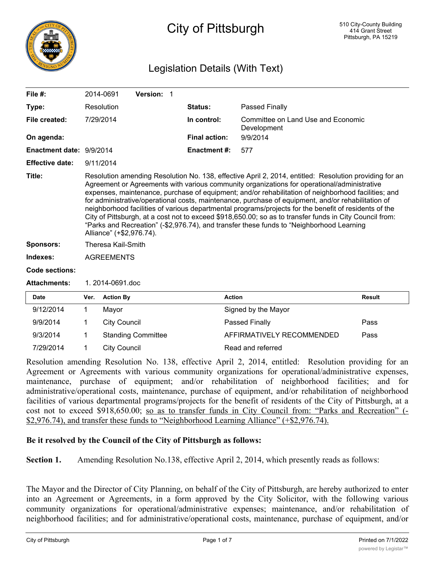

# City of Pittsburgh

## Legislation Details (With Text)

| File $#$ :               |                                                                                                                                                                                                                                                                                                                                                                                                                                                                                                                                                                                                                                                                                                                                                                | 2014-0691           | Version: 1 |  |                      |                                                   |               |
|--------------------------|----------------------------------------------------------------------------------------------------------------------------------------------------------------------------------------------------------------------------------------------------------------------------------------------------------------------------------------------------------------------------------------------------------------------------------------------------------------------------------------------------------------------------------------------------------------------------------------------------------------------------------------------------------------------------------------------------------------------------------------------------------------|---------------------|------------|--|----------------------|---------------------------------------------------|---------------|
| Type:                    |                                                                                                                                                                                                                                                                                                                                                                                                                                                                                                                                                                                                                                                                                                                                                                | Resolution          |            |  | Status:              | Passed Finally                                    |               |
| File created:            |                                                                                                                                                                                                                                                                                                                                                                                                                                                                                                                                                                                                                                                                                                                                                                | 7/29/2014           |            |  | In control:          | Committee on Land Use and Economic<br>Development |               |
| On agenda:               |                                                                                                                                                                                                                                                                                                                                                                                                                                                                                                                                                                                                                                                                                                                                                                |                     |            |  | <b>Final action:</b> | 9/9/2014                                          |               |
| Enactment date: 9/9/2014 |                                                                                                                                                                                                                                                                                                                                                                                                                                                                                                                                                                                                                                                                                                                                                                |                     |            |  | Enactment #:         | 577                                               |               |
| <b>Effective date:</b>   |                                                                                                                                                                                                                                                                                                                                                                                                                                                                                                                                                                                                                                                                                                                                                                | 9/11/2014           |            |  |                      |                                                   |               |
| Title:                   | Resolution amending Resolution No. 138, effective April 2, 2014, entitled: Resolution providing for an<br>Agreement or Agreements with various community organizations for operational/administrative<br>expenses, maintenance, purchase of equipment; and/or rehabilitation of neighborhood facilities; and<br>for administrative/operational costs, maintenance, purchase of equipment, and/or rehabilitation of<br>neighborhood facilities of various departmental programs/projects for the benefit of residents of the<br>City of Pittsburgh, at a cost not to exceed \$918,650.00; so as to transfer funds in City Council from:<br>"Parks and Recreation" (-\$2,976.74), and transfer these funds to "Neighborhood Learning<br>Alliance" (+\$2,976.74). |                     |            |  |                      |                                                   |               |
| <b>Sponsors:</b>         |                                                                                                                                                                                                                                                                                                                                                                                                                                                                                                                                                                                                                                                                                                                                                                | Theresa Kail-Smith  |            |  |                      |                                                   |               |
| Indexes:                 |                                                                                                                                                                                                                                                                                                                                                                                                                                                                                                                                                                                                                                                                                                                                                                | <b>AGREEMENTS</b>   |            |  |                      |                                                   |               |
| Code sections:           |                                                                                                                                                                                                                                                                                                                                                                                                                                                                                                                                                                                                                                                                                                                                                                |                     |            |  |                      |                                                   |               |
| <b>Attachments:</b>      |                                                                                                                                                                                                                                                                                                                                                                                                                                                                                                                                                                                                                                                                                                                                                                | 1.2014-0691.doc     |            |  |                      |                                                   |               |
| <b>Date</b>              | Ver.                                                                                                                                                                                                                                                                                                                                                                                                                                                                                                                                                                                                                                                                                                                                                           | <b>Action By</b>    |            |  | <b>Action</b>        |                                                   | <b>Result</b> |
| 9/12/2014                | 1                                                                                                                                                                                                                                                                                                                                                                                                                                                                                                                                                                                                                                                                                                                                                              | Mayor               |            |  |                      | Signed by the Mayor                               |               |
| 9/9/2014                 |                                                                                                                                                                                                                                                                                                                                                                                                                                                                                                                                                                                                                                                                                                                                                                | <b>City Council</b> |            |  |                      | Passed Finally                                    | Pass          |

9/3/2014 1 Standing Committee **AFFIRMATIVELY RECOMMENDED** Pass 7/29/2014 1 City Council 2008 Read and referred

Resolution amending Resolution No. 138, effective April 2, 2014, entitled: Resolution providing for an Agreement or Agreements with various community organizations for operational/administrative expenses, maintenance, purchase of equipment; and/or rehabilitation of neighborhood facilities; and for administrative/operational costs, maintenance, purchase of equipment, and/or rehabilitation of neighborhood facilities of various departmental programs/projects for the benefit of residents of the City of Pittsburgh, at a cost not to exceed \$918,650.00; so as to transfer funds in City Council from: "Parks and Recreation" (-\$2,976.74), and transfer these funds to "Neighborhood Learning Alliance" (+\$2,976.74).

### **Be it resolved by the Council of the City of Pittsburgh as follows:**

**Section 1.** Amending Resolution No.138, effective April 2, 2014, which presently reads as follows:

The Mayor and the Director of City Planning, on behalf of the City of Pittsburgh, are hereby authorized to enter into an Agreement or Agreements, in a form approved by the City Solicitor, with the following various community organizations for operational/administrative expenses; maintenance, and/or rehabilitation of neighborhood facilities; and for administrative/operational costs, maintenance, purchase of equipment, and/or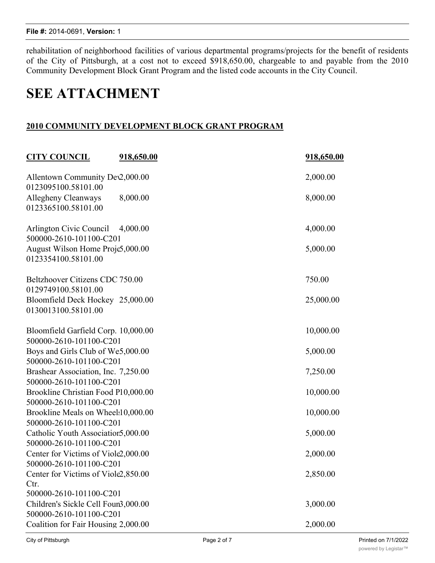rehabilitation of neighborhood facilities of various departmental programs/projects for the benefit of residents of the City of Pittsburgh, at a cost not to exceed \$918,650.00, chargeable to and payable from the 2010 Community Development Block Grant Program and the listed code accounts in the City Council.

# **SEE ATTACHMENT**

## **2010 COMMUNITY DEVELOPMENT BLOCK GRANT PROGRAM**

| <b>CITY COUNCIL</b>                                            | <u>918,650.00</u> | 918,650.00 |
|----------------------------------------------------------------|-------------------|------------|
| Allentown Community Dev2,000.00<br>0123095100.58101.00         |                   | 2,000.00   |
| Allegheny Cleanways<br>0123365100.58101.00                     | 8,000.00          | 8,000.00   |
| Arlington Civic Council<br>500000-2610-101100-C201             | 4,000.00          | 4,000.00   |
| August Wilson Home Proje5,000.00<br>0123354100.58101.00        |                   | 5,000.00   |
| Beltzhoover Citizens CDC 750.00<br>0129749100.58101.00         |                   | 750.00     |
| Bloomfield Deck Hockey 25,000.00<br>0130013100.58101.00        |                   | 25,000.00  |
| Bloomfield Garfield Corp. 10,000.00<br>500000-2610-101100-C201 |                   | 10,000.00  |
| Boys and Girls Club of We5,000.00<br>500000-2610-101100-C201   |                   | 5,000.00   |
| Brashear Association, Inc. 7,250.00<br>500000-2610-101100-C201 |                   | 7,250.00   |
| Brookline Christian Food P10,000.00<br>500000-2610-101100-C201 |                   | 10,000.00  |
| Brookline Meals on Wheel:10,000.00<br>500000-2610-101100-C201  |                   | 10,000.00  |
| Catholic Youth Association 5,000.00<br>500000-2610-101100-C201 |                   | 5,000.00   |
| Center for Victims of Viole2,000.00<br>500000-2610-101100-C201 |                   | 2,000.00   |
| Center for Victims of Viole2,850.00<br>Ctr.                    |                   | 2,850.00   |
| 500000-2610-101100-C201<br>Children's Sickle Cell Foun3,000.00 |                   | 3,000.00   |
| 500000-2610-101100-C201<br>Coalition for Fair Housing 2,000.00 |                   | 2,000.00   |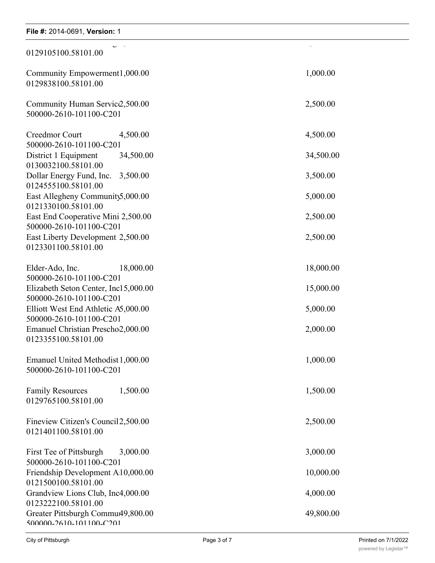## **File #:** 2014-0691, Version: 1 Children's Sickle Cell Foundation 3,000.00 3,000.00 communication for Fair Housing 2, 000.000 2,000.000 2,000.000 2,000.000 2,000.000 2,000.000 2,000.000 2,000.00<br>The contract of the contract of the contract of the contract of the contract of the contract of the contract o 0129105100.58101.00 Community Empowerment 1,000.00 1,000.00 0129838100.58101.00 Community Human Service 2,500.00 2,500.00 500000-2610-101100-C201 Creedmor Court 4,500.00 4,500.00 500000-2610-101100-C201 District 1 Equipment 34,500.00 34,500.00 0130032100.58101.00 Dollar Energy Fund, Inc. 3,500.00 3,500.00 0124555100.58101.00 East Allegheny Community  $5,000.00$  5,000.00 0121330100.58101.00 East End Cooperative Mini 2,500.00 2,500.00 2,500.00 500000-2610-101100-C201 East Liberty Development 2,500.00 2,500.00 0123301100.58101.00 Elder-Ado, Inc. 18,000.00 18,000.00 18,000.00 500000-2610-101100-C201 Elizabeth Seton Center, Inc15,000.00 15,000.00 15,000.00 500000-2610-101100-C201 Elliott West End Athletic A5,000.00 5,000.00 500000-2610-101100-C201 Emanuel Christian Prescho $2,000.00$  2,000.00 0123355100.58101.00 Emanuel United Methodist 1,000.00 1,000.00 500000-2610-101100-C201 Family Resources 1,500.00 1,500.00 0129765100.58101.00 Fineview Citizen's Council 2,500.00 2,500.00 0121401100.58101.00 First Tee of Pittsburgh 3,000.00 3,000.00 3,000.00 500000-2610-101100-C201 Friendship Development A10,000.00 10,000.00 0121500100.58101.00 Grandview Lions Club, Inc4,000.00 4,000.00 0123222100.58101.00 Greater Pittsburgh Commu49,800.00 49,800.00 500000-2610-101100-C201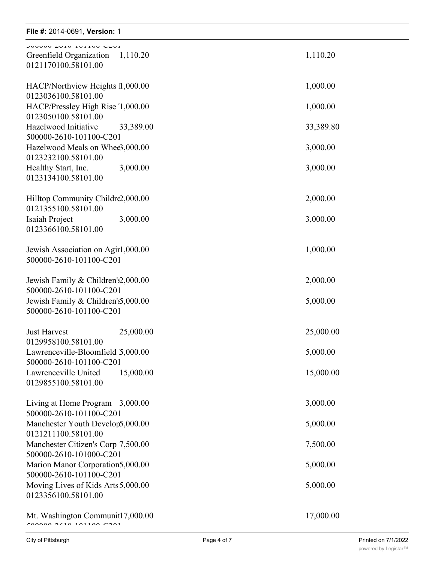#### **File #:** 2014-0691, **Version:** 1 0123222100.58101.00 File  $\#$ : 2014-0691, version: 1

| JUUUUU <sup>-</sup> 40TU-TUTTUU <sup>-</sup> C40T<br>Greenfield Organization<br>1,110.20<br>0121170100.58101.00 | 1,110.20  |
|-----------------------------------------------------------------------------------------------------------------|-----------|
| HACP/Northview Heights 1,000.00<br>0123036100.58101.00                                                          | 1,000.00  |
| HACP/Pressley High Rise 1,000.00<br>0123050100.58101.00                                                         | 1,000.00  |
| Hazelwood Initiative<br>33,389.00<br>500000-2610-101100-C201                                                    | 33,389.80 |
| Hazelwood Meals on Whee3,000.00<br>0123232100.58101.00                                                          | 3,000.00  |
| 3,000.00<br>Healthy Start, Inc.<br>0123134100.58101.00                                                          | 3,000.00  |
| Hilltop Community Childre2,000.00<br>0121355100.58101.00                                                        | 2,000.00  |
| Isaiah Project<br>3,000.00<br>0123366100.58101.00                                                               | 3,000.00  |
| Jewish Association on Agir1,000.00<br>500000-2610-101100-C201                                                   | 1,000.00  |
| Jewish Family & Children'2,000.00<br>500000-2610-101100-C201                                                    | 2,000.00  |
| Jewish Family & Children's 5,000.00<br>500000-2610-101100-C201                                                  | 5,000.00  |
| <b>Just Harvest</b><br>25,000.00                                                                                | 25,000.00 |
| 0129958100.58101.00<br>Lawrenceville-Bloomfield 5,000.00<br>500000-2610-101100-C201                             | 5,000.00  |
| Lawrenceville United<br>15,000.00<br>0129855100.58101.00                                                        | 15,000.00 |
| Living at Home Program 3,000.00<br>500000-2610-101100-C201                                                      | 3,000.00  |
| Manchester Youth Develop5,000.00<br>0121211100.58101.00                                                         | 5,000.00  |
| Manchester Citizen's Corp 7,500.00<br>500000-2610-101000-C201                                                   | 7,500.00  |
| Marion Manor Corporation5,000.00<br>500000-2610-101100-C201                                                     | 5,000.00  |
| Moving Lives of Kids Arts 5,000.00<br>0123356100.58101.00                                                       | 5,000.00  |
| Mt. Washington Communit17,000.00<br>FAAAAA AZIA 1A11AA MAA1                                                     | 17,000.00 |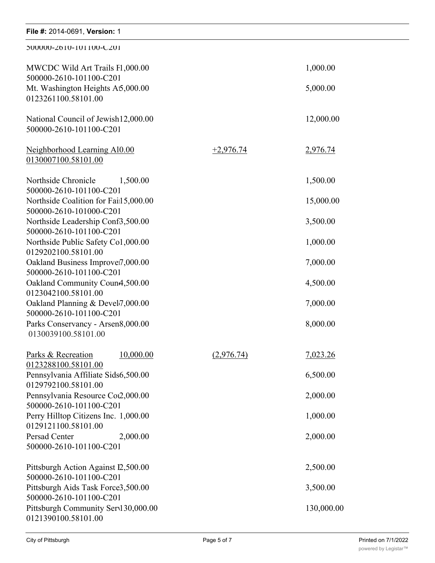| File #: 2014-0691, Version: 1                                                       |             |            |
|-------------------------------------------------------------------------------------|-------------|------------|
| 200000-2610-101100-C201                                                             |             |            |
| MWCDC Wild Art Trails F1,000.00<br>500000-2610-101100-C201                          |             | 1,000.00   |
| Mt. Washington Heights A5,000.00<br>0123261100.58101.00                             |             | 5,000.00   |
| National Council of Jewish 12,000.00<br>500000-2610-101100-C201                     |             | 12,000.00  |
| Neighborhood Learning Al0.00<br>0130007100.58101.00                                 | $+2,976.74$ | 2,976.74   |
| Northside Chronicle<br>1,500.00<br>500000-2610-101100-C201                          |             | 1,500.00   |
| Northside Coalition for Fail 5,000.00<br>500000-2610-101000-C201                    |             | 15,000.00  |
| Northside Leadership Conf3,500.00<br>500000-2610-101100-C201                        |             | 3,500.00   |
| Northside Public Safety Co1,000.00<br>0129202100.58101.00                           |             | 1,000.00   |
| Oakland Business Improvei7,000.00<br>500000-2610-101100-C201                        |             | 7,000.00   |
| Oakland Community Coun4,500.00<br>0123042100.58101.00                               |             | 4,500.00   |
| Oakland Planning & Devel7,000.00                                                    |             | 7,000.00   |
| 500000-2610-101100-C201<br>Parks Conservancy - Arsen8,000.00<br>0130039100.58101.00 |             | 8,000.00   |
| Parks & Recreation<br>10,000.00<br>0123288100.58101.00                              | (2,976.74)  | 7,023.26   |
| Pennsylvania Affiliate Sids6,500.00<br>0129792100.58101.00                          |             | 6,500.00   |
| Pennsylvania Resource Cot2,000.00<br>500000-2610-101100-C201                        |             | 2,000.00   |
| Perry Hilltop Citizens Inc. 1,000.00<br>0129121100.58101.00                         |             | 1,000.00   |
| Persad Center<br>2,000.00<br>500000-2610-101100-C201                                |             | 2,000.00   |
| Pittsburgh Action Against I2,500.00<br>500000-2610-101100-C201                      |             | 2,500.00   |
| Pittsburgh Aids Task Force3,500.00<br>500000-2610-101100-C201                       |             | 3,500.00   |
| Pittsburgh Community Serv130,000.00<br>0121390100.58101.00                          |             | 130,000.00 |

Pittsburgh Community Services - Safety 16,000.00 16,000.00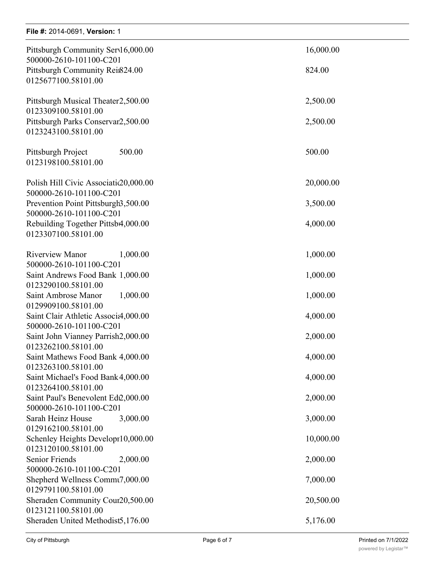## **File #:** 2014-0691, **Version:** 1

| Pittsburgh Community Serv16,000.00     | 16,000.00 |
|----------------------------------------|-----------|
| 500000-2610-101100-C201                |           |
| Pittsburgh Community Rein824.00        | 824.00    |
| 0125677100.58101.00                    |           |
| Pittsburgh Musical Theater2,500.00     | 2,500.00  |
| 0123309100.58101.00                    |           |
| Pittsburgh Parks Conservar2,500.00     | 2,500.00  |
| 0123243100.58101.00                    |           |
| 500.00<br>Pittsburgh Project           | 500.00    |
| 0123198100.58101.00                    |           |
| Polish Hill Civic Associatic 20,000.00 | 20,000.00 |
| 500000-2610-101100-C201                |           |
| Prevention Point Pittsburgh3,500.00    | 3,500.00  |
| 500000-2610-101100-C201                |           |
| Rebuilding Together Pittsb4,000.00     | 4,000.00  |
| 0123307100.58101.00                    |           |
|                                        |           |
| <b>Riverview Manor</b><br>1,000.00     | 1,000.00  |
| 500000-2610-101100-C201                |           |
| Saint Andrews Food Bank 1,000.00       | 1,000.00  |
| 0123290100.58101.00                    |           |
| Saint Ambrose Manor<br>1,000.00        | 1,000.00  |
| 0129909100.58101.00                    |           |
|                                        |           |
| Saint Clair Athletic Associa,000.00    | 4,000.00  |
| 500000-2610-101100-C201                |           |
| Saint John Vianney Parrish2,000.00     | 2,000.00  |
| 0123262100.58101.00                    |           |
| Saint Mathews Food Bank 4,000.00       | 4,000.00  |
| 0123263100.58101.00                    |           |
| Saint Michael's Food Bank 4,000.00     | 4,000.00  |
| 0123264100.58101.00                    |           |
| Saint Paul's Benevolent Ed2,000.00     | 2,000.00  |
| 500000-2610-101100-C201                |           |
| Sarah Heinz House<br>3,000.00          | 3,000.00  |
| 0129162100.58101.00                    |           |
| Schenley Heights Developr10,000.00     | 10,000.00 |
| 0123120100.58101.00                    |           |
| <b>Senior Friends</b><br>2,000.00      | 2,000.00  |
| 500000-2610-101100-C201                |           |
| Shepherd Wellness Commu7,000.00        | 7,000.00  |
| 0129791100.58101.00                    |           |
| Sheraden Community Cour20,500.00       | 20,500.00 |
| 0123121100.58101.00                    |           |
| Sheraden United Methodist5,176.00      | 5,176.00  |
|                                        |           |